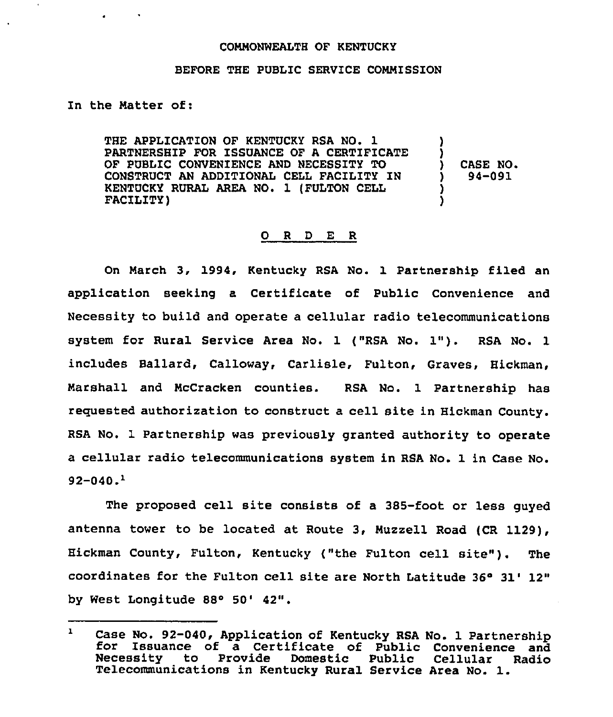## COMMONWEALTH OF KENTUCKY

## BEFORE THE PUBLIC SERVICE COMMISSION

## In the Matter of:

THE APPLICATION OF KENTUCKY RSA NO. 1 PARTNERSHIP FOR ISSUANCE OF A CERTIFICATE OF PUBLIC CONVENIENCE AND NECESSITY TO CONSTRUCT AN ADDITIONAL CELL FACILITY IN KENTUCKY RURAL AREA NO. 1 (FULTON CELL FACILITY) ) ) ) CASE NO. ) 94-091 ) )

## 0 <sup>R</sup> <sup>D</sup> E R

On March 3, 1994, Kentucky RSA No. 1 Partnership filed an application seeking a Certificate of Public Convenience and Necessity to build and operate a cellular radio telecommunications system for Rural Service Area No. 1 ("RSA No. 1"). RSA No. <sup>1</sup> includes Ballard, Calloway, Carlisle, Fulton, Graves, Hickman, Marshall and McCracken counties. RSA No. 1 Partnership has reguested authorization to construct a cell site in Hickman County. RSA No. 1 Partnership was previously granted authority to operate a cellular radio telecommunications system in RSA No. 1 in Case No.  $92 - 040.$ <sup>1</sup>

The proposed cell site consists of a 385-foot or less guyed antenna tower to be located at Route 3, Muzzell Road (CR 1129), Hickman County, Fulton, Kentucky ("the Fulton cell site"). The coordinates for the Fulton cell site are North Latitude  $36^{\circ}$  31' 12" by West Longitude 88° 50' 42".

 $\mathbf{1}$ Case No. 92-040, Application of Kentucky RSA No. <sup>1</sup> Partnership for Issuance of <sup>a</sup> Certificate of Public Convenience and Necessity to Provide Domestic Public Cellular Radio Telecommunications in Kentucky Rural Service Area No. 1.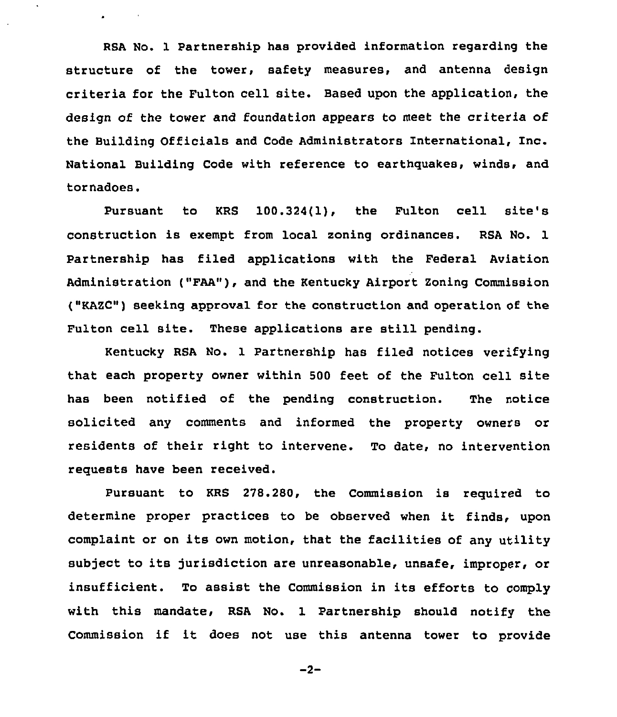RSA No. 1 Partnership has provided information regarding the structure of the tower, safety measures, and antenna design criteria for the Fulton cell site. Based upon the application, the design of the tower and foundation appears to meet the criteria of the Building Officials and Code Administrators International, Inc. National Building Code with reference to earthquakes, winds, and tornadoes.

Pursuant to KRS 100.324(1), the Fulton cell site's construction is exempt from local zoning ordinances. RSA No. 1 Partnership has filed applications with the Federal Aviation Administration ("FAA"), and the Kentucky Airport Zoning Commission ("KAZC") seeking approval for the construction and operation of the Fulton cell site. These applications are still pending.

Kentucky RSA No. 1 Partnership has filed notices verifying that each property owner within 500 feet of the Fulton cell site has been notified of the pending construction. The notice solicited any comments and informed the property owners or residents of their right to intervene. To date, no intervention requests have been received.

Pursuant to KRS 278.280, the Commission is required to determine proper practices to be observed when it finds, upon complaint or on its own motion, that the facilities of any utility subject to its jurisdiction are unreasonable, unsafe, improper, or insufficient. To assist the Commission in its efforts to comply with this mandate, RSA No. 1 Partnership should notify the Commission if it does not use this antenna tower to provide

$$
-2-
$$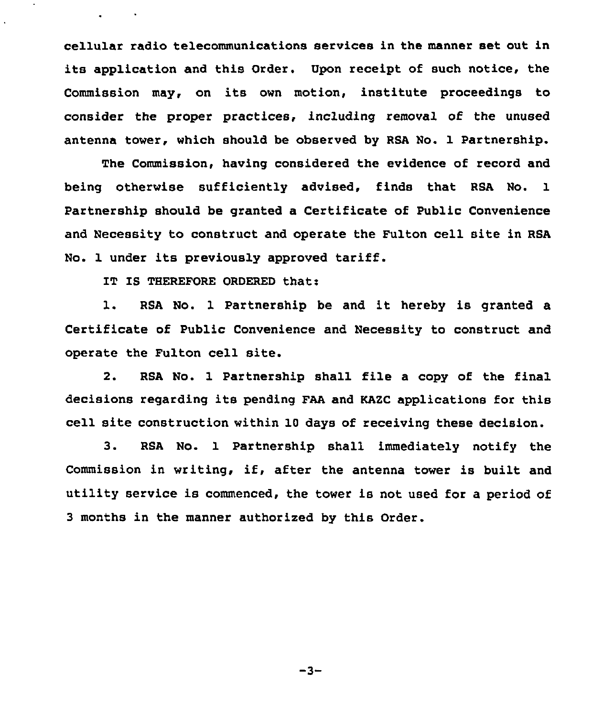cellular radio telecommunications services in the manner set out in its application and this Order. Upon receipt of such notice, the Commission may, on its own motion, institute proceedings to consider the proper practices, including removal of the unused antenna tower, which should be observed by RSA No. 1 Partnership.

The Commission, having considered the evidence of record and being otherwise sufficiently advised, finds that RSA No. 1 Partnership should be granted a Certificate of Public Convenience and Necessity to construct and operate the Fulton cell site in RSA No. 1 under its previously approved tariff.

IT IS THEREFORE ORDERED that:

 $\mathbf{L}^{\text{max}}$  and  $\mathbf{L}^{\text{max}}$ 

1. RSA No. <sup>1</sup> Partnership be and it hereby is granted <sup>a</sup> Certificate of Public Convenience and Necessity to construct and operate the Fulton cell site.

2. RSA No. 1 Partnership shall file a copy of the final decisions regarding its pending FAA and KAZC applications for this cell site construction within 10 days of receiving these decision.

3. RSA No. 1 Partnership shall immediately notify the Commission in writing, if, after the antenna tower is built and utility service is commenced, the tower is not used for a period of 3 months in the manner authorized by this Order.

 $-3-$